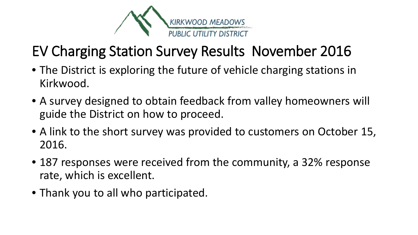

### EV Charging Station Survey Results November 2016

- The District is exploring the future of vehicle charging stations in Kirkwood.
- A survey designed to obtain feedback from valley homeowners will guide the District on how to proceed.
- A link to the short survey was provided to customers on October 15, 2016.
- 187 responses were received from the community, a 32% response rate, which is excellent.
- Thank you to all who participated.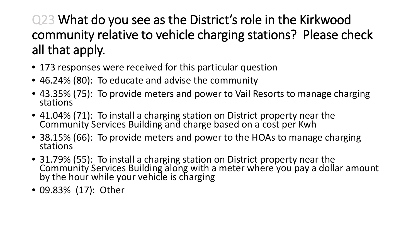Q23 What do you see as the District's role in the Kirkwood community relative to vehicle charging stations? Please check all that apply.

- 173 responses were received for this particular question
- 46.24% (80): To educate and advise the community
- 43.35% (75): To provide meters and power to Vail Resorts to manage charging stations
- 41.04% (71): To install a charging station on District property near the Community Services Building and charge based on a cost per Kwh
- 38.15% (66): To provide meters and power to the HOAs to manage charging stations
- 31.79% (55): To install a charging station on District property near the Community Services Building along with a meter where you pay a dollar amount by the hour while your vehicle is charging
- 09.83% (17): Other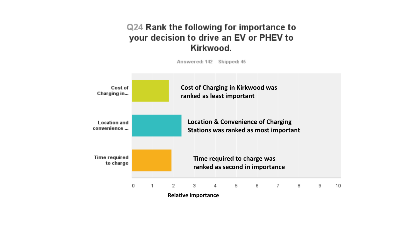### Q24 Rank the following for importance to your decision to drive an EV or PHEV to Kirkwood.



**Relative Importance**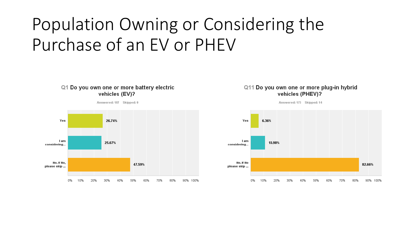# Population Owning or Considering the Purchase of an EV or PHEV

#### Q1 Do you own one or more battery electric vehicles (EV)?

Answered: 187 Skipped: 0



#### Q11 Do you own one or more plug-in hybrid vehicles (PHEV)?

Answered: 173 Skipped: 14

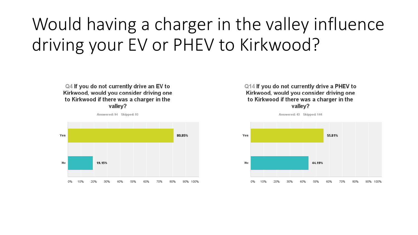# Would having a charger in the valley influence driving your EV or PHEV to Kirkwood?

Q4 If you do not currently drive an EV to Kirkwood, would you consider driving one to Kirkwood if there was a charger in the valley?



Q14 If you do not currently drive a PHEV to Kirkwood, would you consider driving one to Kirkwood if there was a charger in the valley?



Answered: 43 Skipped: 144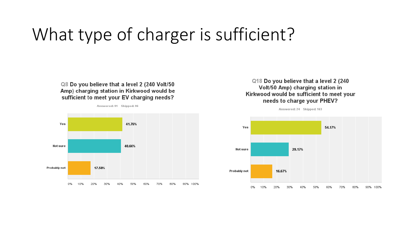## What type of charger is sufficient?

#### Q8 Do you believe that a level 2 (240 Volt/50 Amp) charging station in Kirkwood would be sufficient to meet your EV charging needs?

Answered: 91 Skipped: 96



#### Q18 Do you believe that a level 2 (240 Volt/50 Amp) charging station in Kirkwood would be sufficient to meet your needs to charge your PHEV?

Answered: 24 Skipped: 163

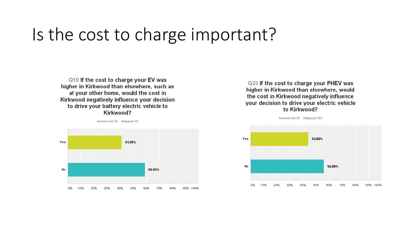### Is the cost to charge important?

Q10 If the cost to charge your EV was higher in Kirkwood than elsewhere, such as at your other home, would the cost in Kirkwood negatively influence your decision to drive your battery electric vehicle to Kirkwood?





Q20 If the cost to charge your PHEV was higher in Kirkwood than elsewhere, would the cost in Kirkwood negatively influence your decision to drive your electric vehicle to Kirkwood?



Answered: 25 Skipped: 162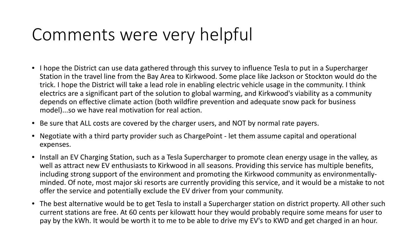# Comments were very helpful

- I hope the District can use data gathered through this survey to influence Tesla to put in a Supercharger Station in the travel line from the Bay Area to Kirkwood. Some place like Jackson or Stockton would do the trick. I hope the District will take a lead role in enabling electric vehicle usage in the community. I think electrics are a significant part of the solution to global warming, and Kirkwood's viability as a community depends on effective climate action (both wildfire prevention and adequate snow pack for business model)...so we have real motivation for real action.
- Be sure that ALL costs are covered by the charger users, and NOT by normal rate payers.
- Negotiate with a third party provider such as ChargePoint let them assume capital and operational expenses.
- Install an EV Charging Station, such as a Tesla Supercharger to promote clean energy usage in the valley, as well as attract new EV enthusiasts to Kirkwood in all seasons. Providing this service has multiple benefits, including strong support of the environment and promoting the Kirkwood community as environmentallyminded. Of note, most major ski resorts are currently providing this service, and it would be a mistake to not offer the service and potentially exclude the EV driver from your community.
- The best alternative would be to get Tesla to install a Supercharger station on district property. All other such current stations are free. At 60 cents per kilowatt hour they would probably require some means for user to pay by the kWh. It would be worth it to me to be able to drive my EV's to KWD and get charged in an hour.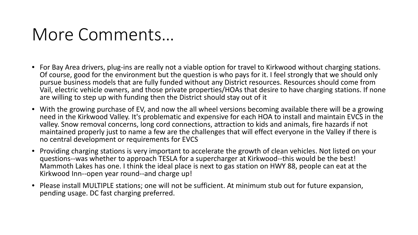### More Comments…

- For Bay Area drivers, plug-ins are really not a viable option for travel to Kirkwood without charging stations. Of course, good for the environment but the question is who pays for it. I feel strongly that we should only pursue business models that are fully funded without any District resources. Resources should come from Vail, electric vehicle owners, and those private properties/HOAs that desire to have charging stations. If none are willing to step up with funding then the District should stay out of it
- With the growing purchase of EV, and now the all wheel versions becoming available there will be a growing need in the Kirkwood Valley. It's problematic and expensive for each HOA to install and maintain EVCS in the valley. Snow removal concerns, long cord connections, attraction to kids and animals, fire hazards if not maintained properly just to name a few are the challenges that will effect everyone in the Valley if there is no central development or requirements for EVCS
- Providing charging stations is very important to accelerate the growth of clean vehicles. Not listed on your questions--was whether to approach TESLA for a supercharger at Kirkwood--this would be the best! Mammoth Lakes has one. I think the ideal place is next to gas station on HWY 88, people can eat at the Kirkwood Inn--open year round--and charge up!
- Please install MULTIPLE stations; one will not be sufficient. At minimum stub out for future expansion, pending usage. DC fast charging preferred.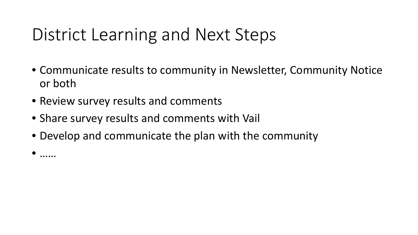# District Learning and Next Steps

- Communicate results to community in Newsletter, Community Notice or both
- Review survey results and comments
- Share survey results and comments with Vail
- Develop and communicate the plan with the community
- ……